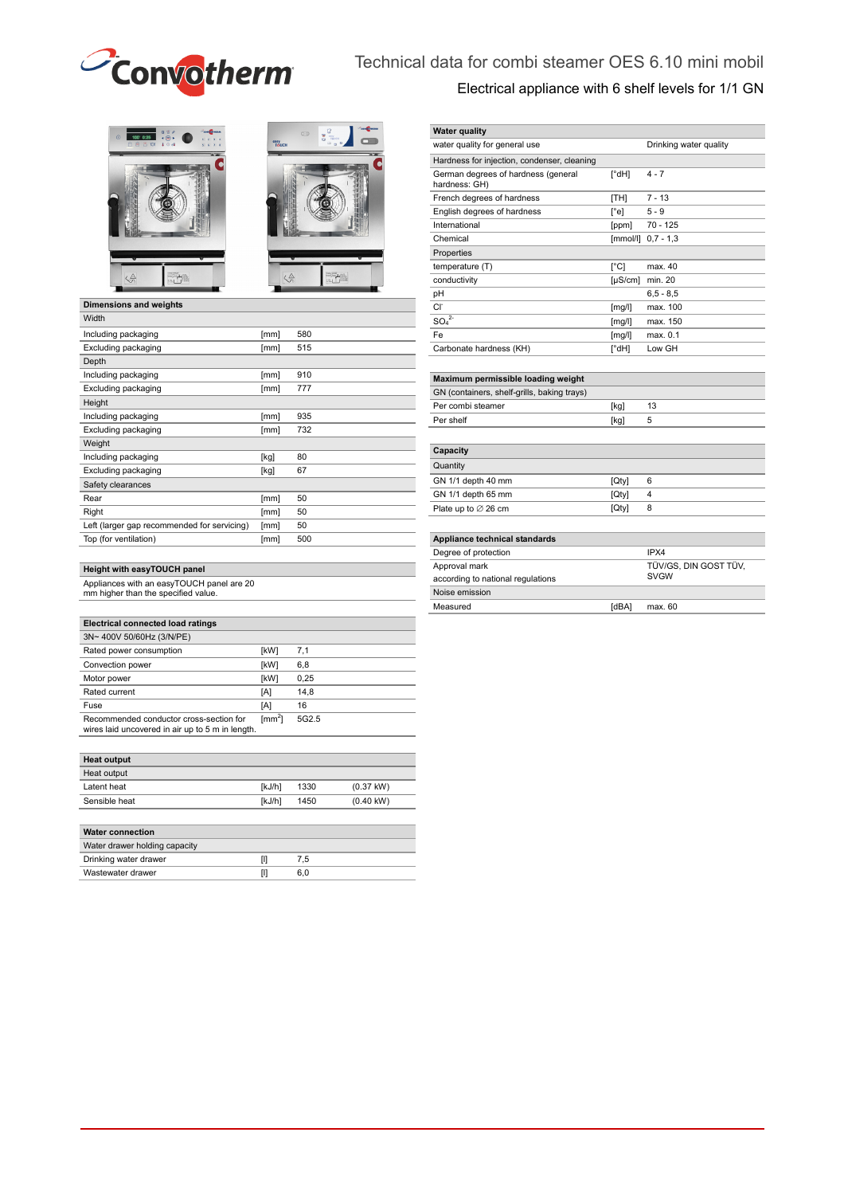

# Technical data for combi steamer OES 6.10 mini mobil Electrical appliance with 6 shelf levels for 1/1 GN





### **Dimensions and weights**

| Width                                       |      |     |
|---------------------------------------------|------|-----|
| Including packaging                         | [mm] | 580 |
| Excluding packaging                         | [mm] | 515 |
| Depth                                       |      |     |
| Including packaging                         | [mm] | 910 |
| Excluding packaging                         | [mm] | 777 |
| Height                                      |      |     |
| Including packaging                         | [mm] | 935 |
| Excluding packaging                         | [mm] | 732 |
| Weight                                      |      |     |
| Including packaging                         | [kg] | 80  |
| Excluding packaging                         | [kg] | 67  |
| Safety clearances                           |      |     |
| Rear                                        | [mm] | 50  |
| Right                                       | [mm] | 50  |
| Left (larger gap recommended for servicing) | [mm] | 50  |
| Top (for ventilation)                       | [mm] | 500 |
|                                             |      |     |

#### **Height with easyTOUCH panel**

Appliances with an easyTOUCH panel are 20 mm higher than the specified value.

| <b>Electrical connected load ratings</b>                                                    |                           |                   |
|---------------------------------------------------------------------------------------------|---------------------------|-------------------|
| 3N~400V 50/60Hz (3/N/PE)                                                                    |                           |                   |
| Rated power consumption                                                                     | [kW]                      | 7,1               |
| Convection power                                                                            | [kW]                      | 6,8               |
| Motor power                                                                                 | [kW]                      | 0.25              |
| Rated current                                                                               | [A]                       | 14.8              |
| Fuse                                                                                        | [A]                       | 16                |
| Recommended conductor cross-section for<br>wires laid uncovered in air up to 5 m in length. | $\text{Im}\,\mathrm{m}^2$ | 5G <sub>2.5</sub> |

| <b>Heat output</b> |        |      |                     |
|--------------------|--------|------|---------------------|
| Heat output        |        |      |                     |
| Latent heat        | [kJ/h] | 1330 | $(0.37 \text{ kW})$ |
| Sensible heat      | [kJ/h] | 1450 | $(0.40 \text{ kW})$ |
|                    |        |      |                     |

| <b>Water connection</b>       |     |  |
|-------------------------------|-----|--|
| Water drawer holding capacity |     |  |
| Drinking water drawer         | 7.5 |  |
| Wastewater drawer             | 6.0 |  |

| <b>Water quality</b>                                 |                      |                        |
|------------------------------------------------------|----------------------|------------------------|
| water quality for general use                        |                      | Drinking water quality |
| Hardness for injection, condenser, cleaning          |                      |                        |
| German degrees of hardness (general<br>hardness: GH) | $\lceil^{\circ}$ dH] | $4 - 7$                |
| French degrees of hardness                           | [TH]                 | $7 - 13$               |
| English degrees of hardness                          | $\lceil$ °e]         | $5 - 9$                |
| International                                        | [ppm]                | 70 - 125               |
| Chemical                                             | [mmol/l]             | $0.7 - 1.3$            |
| Properties                                           |                      |                        |
| temperature (T)                                      | $\Gamma^{\circ}$ Cl  | max. 40                |
| conductivity                                         | $[\mu S/cm]$         | min. 20                |
| pH                                                   |                      | $6,5 - 8,5$            |
| Cl <sup>-</sup>                                      | [mg/l]               | max. 100               |
| SO <sub>4</sub> <sup>2</sup>                         | [mg/l]               | max. 150               |
| Fe                                                   | [mg/l]               | max. 0.1               |
| Carbonate hardness (KH)                              | $\lceil^{\circ}$ dH] | Low GH                 |
|                                                      |                      |                        |
| Maximum permissible loading weight                   |                      |                        |
| GN (containers, shelf-grills, baking trays)          |                      |                        |
| Per combi steamer                                    | [kg]                 | 13                     |
| Per shelf                                            | [kg]                 | 5                      |
|                                                      |                      |                        |
| Capacity                                             |                      |                        |
| Quantity                                             |                      |                        |
| GN 1/1 depth 40 mm                                   | [Qty]                | 6                      |
| GN 1/1 depth 65 mm                                   | [Qty]                | 4                      |
| Plate up to $\varnothing$ 26 cm                      | [Qty]                | 8                      |
|                                                      |                      |                        |
| Appliance technical standards                        |                      |                        |
| Degree of protection                                 |                      | IPX4                   |
| Approval mark                                        |                      | TÜV/GS, DIN GOST TÜV,  |
| according to national regulations                    |                      | <b>SVGW</b>            |
| Noise emission                                       |                      |                        |
| Measured                                             | [dBA]                | max. 60                |